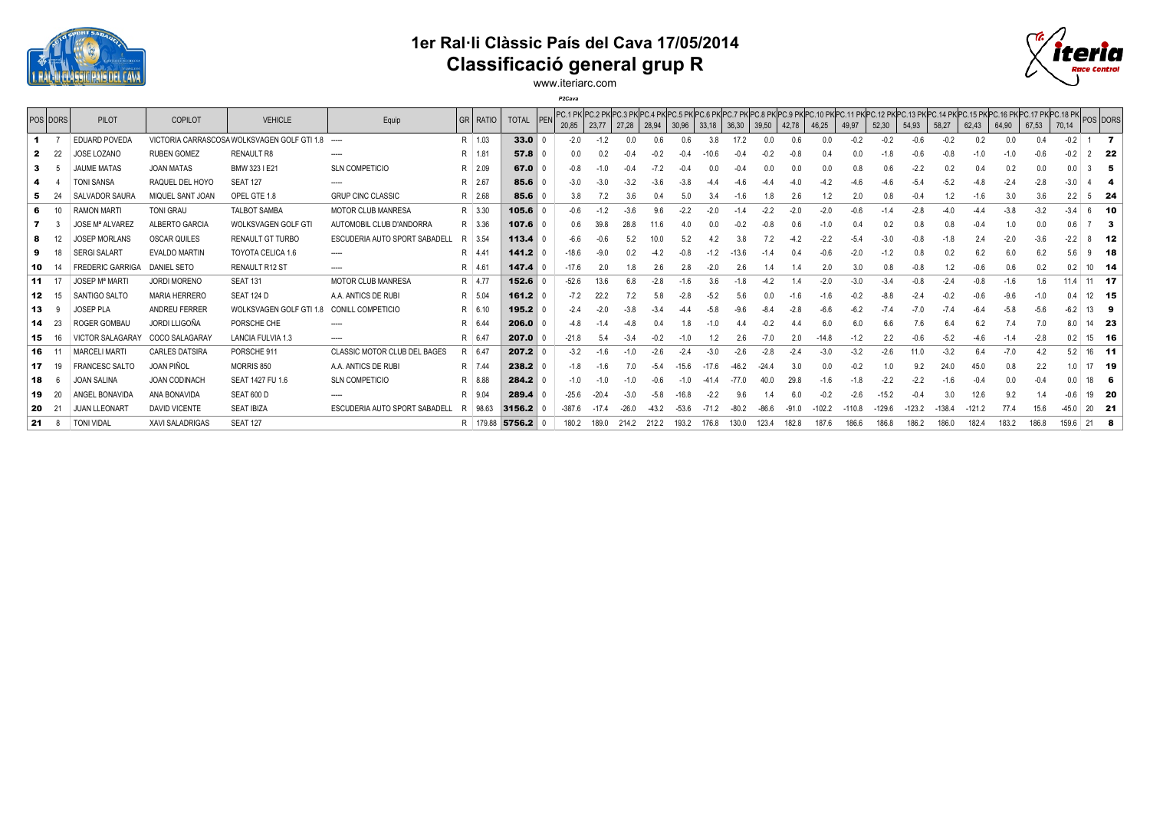

## **1er Ral·li Clàssic País del Cava 17/05/2014 Classificació general grup R**



www.iteriarc.com *P2Cava*

|     | <b>POS DORS</b> | <b>PILOT</b>                     | COPILOT                | <b>VEHICLE</b>                              | Equip                               | GR RATIO | <b>TOTAL</b> | 20,85    | 23,77   | 27,28 | 28,94  | 30,96   | 33,18  | 36,30 | 39,50 | 42,78  | 46,25  | 49,97  | 52,30    | 54,93 | 58,27  | PC.1 PK PC.2 PK PC.3 PK PC.4 PK PC.4 PK PC.6 PK PC.6 PK PC.7 PK PC.8 PK PC.9 PK PC.10 PK PC.11 PK PC.12 PK PC.13 PK PC.13 PK PC.15 PK PC.16 PK PC.17 PK PC.18 PK<br>62,43 | 64,90  | 67,53  | 70,14  | POS DORS |      |
|-----|-----------------|----------------------------------|------------------------|---------------------------------------------|-------------------------------------|----------|--------------|----------|---------|-------|--------|---------|--------|-------|-------|--------|--------|--------|----------|-------|--------|---------------------------------------------------------------------------------------------------------------------------------------------------------------------------|--------|--------|--------|----------|------|
|     |                 | <b>EDUARD POVEDA</b>             |                        | VICTORIA CARRASCOSA WOLKSVAGEN GOLF GTI 1.8 | $\sim$                              | R 1.03   | 33.0         | $-2.0$   |         |       |        | 0.6     | 3.8    |       |       | 0.6    | 0.0    | $-0.2$ | $-0.2$   |       | $-0.2$ | 0.2                                                                                                                                                                       |        | 0.4    | $-0.2$ |          | - 7  |
|     | -22             | JOSE LOZANO                      | <b>RUBEN GOMEZ</b>     | <b>RENAULT R8</b>                           | -----                               | R 1.81   | 57.8         | 0.0      |         |       |        |         |        |       |       |        |        |        |          |       |        |                                                                                                                                                                           |        |        |        |          | 22   |
| -3  |                 | <b>JAUME MATAS</b>               | <b>JOAN MATAS</b>      | BMW 323 I E21                               | SLN COMPETICIO                      | R 2.09   | 67.0         |          |         |       |        |         |        |       |       | 0.0    |        |        | 0.6      |       | 0.2    |                                                                                                                                                                           |        | 0.0    | 0.0    |          | -5   |
|     |                 | TONI SANSA                       | RAQUEL DEL HOYO        | <b>SEAT 127</b>                             | -----                               | R 2.67   | 85.6         | $-3.0$   |         |       |        |         |        |       |       |        |        |        |          |       |        |                                                                                                                                                                           |        |        |        |          |      |
| -5  |                 | <b>SALVADOR SAURA</b>            | MIQUEL SANT JOAN       | OPEL GTE 1.8                                | <b>GRUP CINC CLASSIC</b>            | R 2.68   | 85.6         | 3.8      |         |       |        |         |        | -1.6  |       | 2.6    |        | 2.0    | 0.8      |       | 1.2    | $-1.6$                                                                                                                                                                    | 3.0    | 3.6    |        | 5.       | - 24 |
| 6   | 10              | <b>RAMON MARTI</b>               | <b>TONI GRAU</b>       | <b>TALBOT SAMBA</b>                         | <b>MOTOR CLUB MANRESA</b>           | R 3.30   | 105.6        | $-0.6$   | $-1.2$  |       | 9.6    |         |        |       |       | $-2.0$ | $-2.0$ | -0.6   |          |       |        |                                                                                                                                                                           | $-3.8$ | $-3.2$ | $-3.4$ |          | 10   |
|     |                 | <b>JOSE Mª ALVAREZ</b>           | ALBERTO GARCIA         | <b>WOLKSVAGEN GOLF GTI</b>                  | AUTOMOBIL CLUB D'ANDORRA            | R 3.36   | 107.6        | 0.6      |         |       |        |         |        |       |       |        |        |        |          |       |        |                                                                                                                                                                           |        |        | 0.6    |          | -3   |
| -8  |                 | <b>IOSEP MORLANS</b>             | <b>OSCAR QUILES</b>    | <b>RENAULT GT TURBO</b>                     | ESCUDERIA AUTO SPORT SABADELI       | R 3.54   | 113.4        | -6.6     |         |       |        |         |        |       |       |        |        | -5.    | $-3.0$   |       |        |                                                                                                                                                                           | $-2.0$ | $-3.6$ | $-2.2$ |          | - 12 |
| 9   |                 | <b>SERGI SALART</b>              | <b>EVALDO MARTIN</b>   | TOYOTA CELICA 1.6                           | -----                               | R 4.41   | 141.2        | $-18.6$  | -9.0    |       |        |         |        | 13.6  |       | 04     |        | -2.0   |          |       | 0.2    | 6.2                                                                                                                                                                       | 6.0    | 6.2    | 5.6    |          | - 18 |
| 10  |                 | <b>FREDERIC GARRIGA</b>          | <b>DANIEL SETO</b>     | RENAULT R12 ST                              | -----                               | R 4.61   | 147.4        | $-17.6$  | 2.0     |       |        | 2.8     |        | 2.6   |       |        |        | 3.0    | 0.8      |       | 1.2    |                                                                                                                                                                           |        | 0.2    | 0.2    | $10$ 14  |      |
| 11  | 17              | <b>JOSEP M<sup>ª</sup> MARTI</b> | <b>JORDI MORENO</b>    | <b>SEAT 131</b>                             | MOTOR CLUB MANRESA                  | R 4.77   | 152.6        | $-52.6$  | 13.6    | 6.8   |        |         | 3.6    |       |       |        | $-2.0$ | -3.0   | $-3.4$   |       |        |                                                                                                                                                                           | $-1.6$ | 1.6    | 11.4   | $11$ 17  |      |
| 12  | 15              | SANTIGO SALTO                    | <b>MARIA HERRERO</b>   | SEAT 124 D                                  | A.A. ANTICS DE RUBI                 | R 5.04   | 161.2        | $-7.2$   | 22.2    |       |        |         |        |       |       |        |        |        |          |       |        |                                                                                                                                                                           |        |        |        | 12 15    |      |
| 13  |                 | <b>IOSEP PLA</b>                 | ANDREU FERRER          | WOLKSVAGEN GOLF GTI 1.8                     | <b>CONILL COMPETICIO</b>            | R 6.10   | 195.2        | $-2.4$   |         |       |        |         | $-5.8$ |       |       |        |        | -6.2   |          |       |        |                                                                                                                                                                           | $-5.8$ | $-5.6$ | $-6.2$ | 13       | -9   |
| 14  | -23             | <b>ROGER GOMBAL</b>              | <b>JORDI LLIGOÑA</b>   | PORSCHE CHE                                 |                                     | R 6.44   | 206.0        | $-4.8$   |         |       |        | 1.8     |        |       |       | 44     |        | 6.0    | 6.6      | 7.6   | 6.4    | 6.2                                                                                                                                                                       |        |        | 8.0    | 14 23    |      |
| 15  | 16              | VICTOR SALAGARAY                 | COCO SALAGARAY         | <b>LANCIA FULVIA 1.3</b>                    | -----                               | R 6.47   | 207.0        | $-21.8$  |         |       |        |         |        |       |       |        |        |        |          |       | $-5.2$ |                                                                                                                                                                           |        | $-2.8$ | 0.2    | 15 16    |      |
| 16  |                 | <b>MARCELI MARTI</b>             | <b>CARLES DATSIRA</b>  | PORSCHE 911                                 | <b>CLASSIC MOTOR CLUB DEL BAGES</b> | $R$ 6.47 | 207.2        | $-3.2$   |         |       |        |         |        |       |       |        |        | $-3.2$ | $-2.6$   |       | $-3.2$ | 6.4                                                                                                                                                                       | $-7.0$ | 4.2    | 5.2    | $16$ 11  |      |
| 17  | 19              | <b>FRANCESC SALTO</b>            | JOAN PIÑOL             | MORRIS 850                                  | A.A. ANTICS DE RUBI                 | R 7.44   | 238.2        | $-1.8$   |         |       | $-5.4$ | -15.6   |        |       |       | 3.0    |        | -0.2   |          |       | 24.0   | 45.0                                                                                                                                                                      | 0.8    | 2.2    | 1.0    | 17 19    |      |
| 18  |                 | JOAN SALINA                      | <b>JOAN CODINACH</b>   | SEAT 1427 FU 1.6                            | <b>SLN COMPETICIO</b>               | R 8.88   | 284.2        | $-1.0$   |         |       |        |         |        |       |       | 29.8   |        |        |          |       |        |                                                                                                                                                                           |        | $-0.4$ |        | 18       |      |
| 19  | 20              | ANGEL BONAVIDA                   | ANA BONAVIDA           | <b>SEAT 600 D</b>                           |                                     | R 9.04   | 289.4        | $-25.6$  | $-20.4$ | -3.0  | -5.8   | $-16.8$ |        |       |       |        |        | $-2.6$ | 15.2     |       |        | 12.6                                                                                                                                                                      | 9.2    |        |        | 19 20    |      |
| -20 |                 | <b>JUAN LLEONART</b>             | <b>DAVID VICENTE</b>   | <b>SEAT IBIZA</b>                           | ESCUDERIA AUTO SPORT SABADELI       | R 98.63  | 3156.2       | $-387.6$ |         | -26.0 |        | $-53.6$ |        |       |       |        |        |        | $-129.6$ |       |        |                                                                                                                                                                           |        |        | -45.0  | 20 21    |      |
| 21  |                 | <b>TONI VIDAL</b>                | <b>XAVI SALADRIGAS</b> | <b>SEAT 127</b>                             |                                     | R 179.88 | $5756.2$ 0   | 180.2    | 189.0   | 214.2 | 212.2  | 193.2   | 176.8  | 130.0 | 123.4 | 182.8  | 187.6  | 186.6  | 186.8    | 186.2 | 186.0  | 182.4                                                                                                                                                                     | 183.2  | 186.8  | 159.6  | $21$ 8   |      |